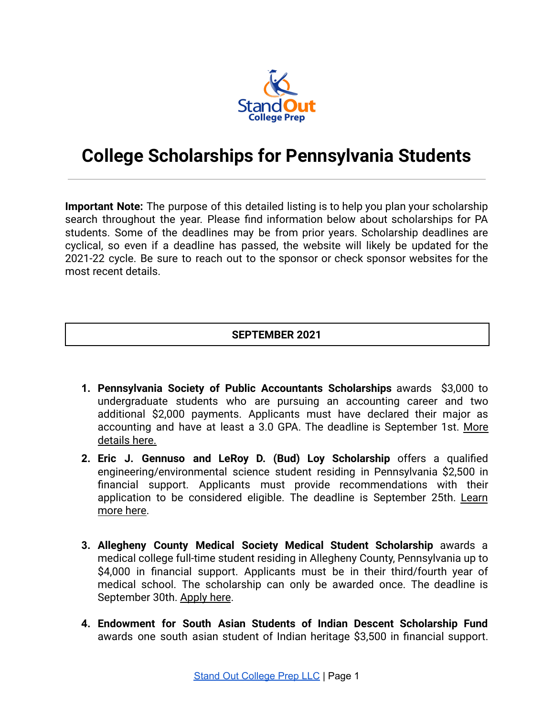

# **College Scholarships for Pennsylvania Students**

**Important Note:** The purpose of this detailed listing is to help you plan your scholarship search throughout the year. Please find information below about scholarships for PA students. Some of the deadlines may be from prior years. Scholarship deadlines are cyclical, so even if a deadline has passed, the website will likely be updated for the 2021-22 cycle. Be sure to reach out to the sponsor or check sponsor websites for the most recent details.

## **SEPTEMBER 2021**

- **1. Pennsylvania Society of Public Accountants Scholarships** awards \$3,000 to undergraduate students who are pursuing an accounting career and two additional \$2,000 payments. Applicants must have declared their major as accounting and have at least a 3.0 GPA. The deadline is September 1st. [More](https://www.pstap.org/member-benefits/student-scholarships/) [details here.](https://www.pstap.org/member-benefits/student-scholarships/)
- **2. Eric J. Gennuso and LeRoy D. (Bud) Loy Scholarship** offers a qualified engineering/environmental science student residing in Pennsylvania \$2,500 in financial support. Applicants must provide recommendations with their application to be considered eligible. The deadline is September 25th. [Learn](https://www.acecpa.org/page/Application) [more here.](https://www.acecpa.org/page/Application)
- **3. Allegheny County Medical Society Medical Student Scholarship** awards a medical college full-time student residing in Allegheny County, Pennsylvania up to \$4,000 in financial support. Applicants must be in their third/fourth year of medical school. The scholarship can only be awarded once. The deadline is September 30th. [Apply here](https://www.foundationpamedsoc.org/docs/librariesprovider3/foundation-documents/2021-scholarship-materials/acms-scholarship-eligibility-directions.pdf?sfvrsn=659f28f2_3).
- **4. Endowment for South Asian Students of Indian Descent Scholarship Fund** awards one south asian student of Indian heritage \$3,500 in financial support.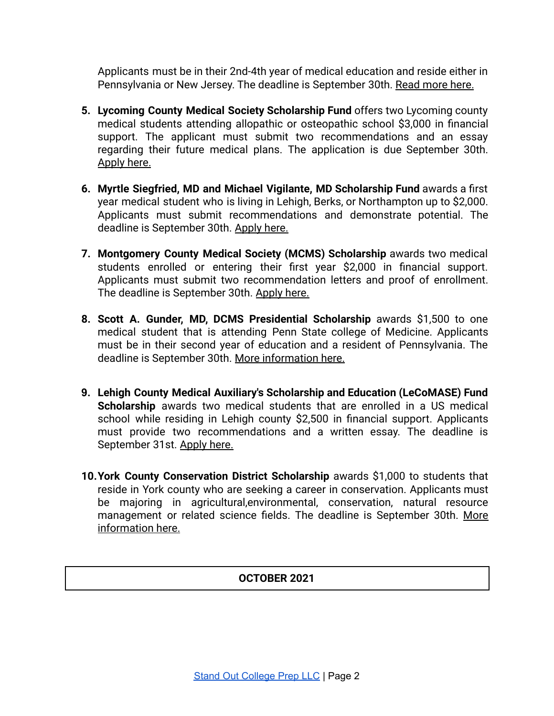Applicants must be in their 2nd-4th year of medical education and reside either in Pennsylvania or New Jersey. The deadline is September 30th. [Read more here.](https://www.foundationpamedsoc.org/student-financial-services/scholarships/esasid-scholarship)

- **5. Lycoming County Medical Society Scholarship Fund** offers two Lycoming county medical students attending allopathic or osteopathic school \$3,000 in financial support. The applicant must submit two recommendations and an essay regarding their future medical plans. The application is due September 30th. [Apply here.](https://www.foundationpamedsoc.org/student-financial-services/scholarships/lcms-scholarship)
- **6. Myrtle Siegfried, MD and Michael Vigilante, MD Scholarship Fund** awards a first year medical student who is living in Lehigh, Berks, or Northampton up to \$2,000. Applicants must submit recommendations and demonstrate potential. The deadline is September 30th. [Apply here.](https://www.foundationpamedsoc.org/student-financial-services/scholarships/myrtle-siegfried-scholarship)
- **7. Montgomery County Medical Society (MCMS) Scholarship** awards two medical students enrolled or entering their first year \$2,000 in financial support. Applicants must submit two recommendation letters and proof of enrollment. The deadline is September 30th. [Apply here.](https://www.foundationpamedsoc.org/student-financial-services/scholarships/lander-mcms-scholarship)
- **8. Scott A. Gunder, MD, DCMS Presidential Scholarship** awards \$1,500 to one medical student that is attending Penn State college of Medicine. Applicants must be in their second year of education and a resident of Pennsylvania. The deadline is September 30th. [More information here.](https://www.foundationpamedsoc.org/student-financial-services/scholarships/gunder-dcms)
- **9. Lehigh County Medical Auxiliary's Scholarship and Education (LeCoMASE) Fund Scholarship** awards two medical students that are enrolled in a US medical school while residing in Lehigh county \$2,500 in financial support. Applicants must provide two recommendations and a written essay. The deadline is September 31st. [Apply here.](https://www.foundationpamedsoc.org/student-financial-services/scholarships/lecomase-fund)
- **10.York County Conservation District Scholarship** awards \$1,000 to students that reside in York county who are seeking a career in conservation. Applicants must be majoring in agricultural,environmental, conservation, natural resource management or related science fields. The deadline is September 30th. [More](https://www.yorkccd.org/education/college-scholarships) [information here.](https://www.yorkccd.org/education/college-scholarships)

# **OCTOBER 2021**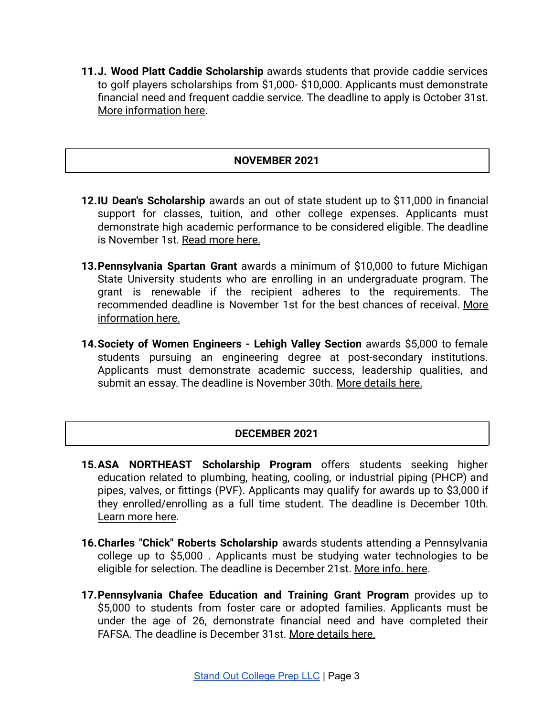**11.J. Wood Platt Caddie Scholarship** awards students that provide caddie services to golf players scholarships from \$1,000- \$10,000. Applicants must demonstrate financial need and frequent caddie service. The deadline to apply is October 31st. [More information here.](https://plattscholar.org/how-to-apply/)

# **NOVEMBER 2021**

- **12.IU Dean's Scholarship** awards an out of state student up to \$11,000 in financial support for classes, tuition, and other college expenses. Applicants must demonstrate high academic performance to be considered eligible. The deadline is November 1st. [Read more here.](https://scholarships.indiana.edu/future-scholars/iu-academic-scholarships.html)
- **13.Pennsylvania Spartan Grant** awards a minimum of \$10,000 to future Michigan State University students who are enrolling in an undergraduate program. The grant is renewable if the recipient adheres to the requirements. The recommended deadline is November 1st for the best chances of receival. [More](https://admissions.msu.edu/cost-aid/scholarships/freshman/pennsylvania-spartan-grant) [information here.](https://admissions.msu.edu/cost-aid/scholarships/freshman/pennsylvania-spartan-grant)
- **14.Society of Women Engineers - Lehigh Valley Section** awards \$5,000 to female students pursuing an engineering degree at post-secondary institutions. Applicants must demonstrate academic success, leadership qualities, and submit an essay. The deadline is November 30th. More [details here.](http://lv.swe.org/scholarships.html)

# **DECEMBER 2021**

- **15.ASA NORTHEAST Scholarship Program** offers students seeking higher education related to plumbing, heating, cooling, or industrial piping (PHCP) and pipes, valves, or fittings (PVF). Applicants may qualify for awards up to \$3,000 if they enrolled/enrolling as a full time student. The deadline is December 10th. [Learn more here.](https://www.asa.net/Join-ASA/Regional-Affiliates/Region-5-Northeast)
- **16.Charles "Chick" Roberts Scholarship** awards students attending a Pennsylvania college up to \$5,000 . Applicants must be studying water technologies to be eligible for selection. The deadline is December 21st. [More info. here](https://www.awwa.org/Membership-Volunteering/Students-Young-Professionals/AWWA-Scholarships#9998647-charles-chick-roberts-scholarship).
- **17.Pennsylvania Chafee Education and Training Grant Program** provides up to \$5,000 to students from foster care or adopted families. Applicants must be under the age of 26, demonstrate financial need and have completed their FAFSA. The deadline is December 31st. [More details](https://www.pheaa.org/funding-opportunities/other-educational-aid/chafee-program.shtml) here.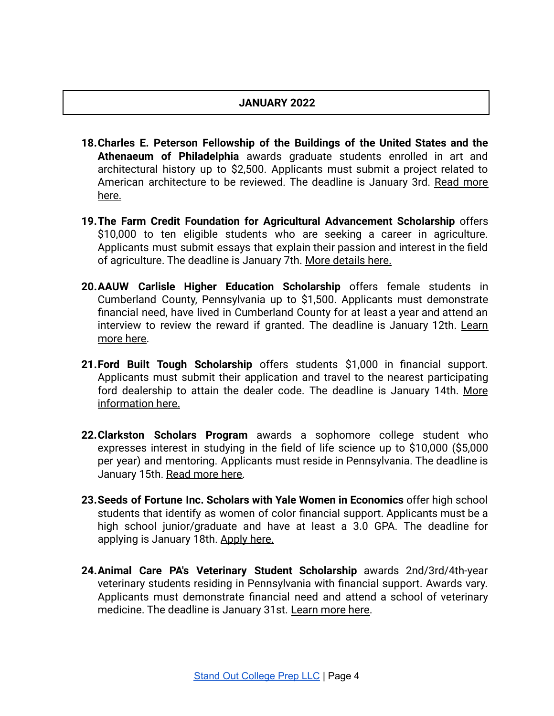# **JANUARY 2022**

- **18.Charles E. Peterson Fellowship of the Buildings of the United States and the Athenaeum of Philadelphia** awards graduate students enrolled in art and architectural history up to \$2,500. Applicants must submit a project related to American architecture to be reviewed. The deadline is January 3rd. Read [more](https://www.sah.org/jobs-and-careers/sah-fellowships-and-grants/research-fellowships#Peterson) [here.](https://www.sah.org/jobs-and-careers/sah-fellowships-and-grants/research-fellowships#Peterson)
- **19.The Farm Credit Foundation for Agricultural Advancement Scholarship** offers \$10,000 to ten eligible students who are seeking a career in agriculture. Applicants must submit essays that explain their passion and interest in the field of agriculture. The deadline is January 7th. More [details here.](https://fcfoundationforag.org/)
- **20.AAUW Carlisle Higher Education Scholarship** offers female students in Cumberland County, Pennsylvania up to \$1,500. Applicants must demonstrate financial need, have lived in Cumberland County for at least a year and attend an interview to review the reward if granted. The deadline is January 12th. [Learn](https://carlisle-pa.aauw.net/scholarship/) [more here.](https://carlisle-pa.aauw.net/scholarship/)
- **21.Ford Built Tough Scholarship** offers students \$1,000 in financial support. Applicants must submit their application and travel to the nearest participating ford dealership to attain the dealer code. The deadline is January 14th. [More](https://www.ffa.org/participate/grants-and-scholarships/scholarships/) [information here](https://www.ffa.org/participate/grants-and-scholarships/scholarships/).
- **22.Clarkston Scholars Program** awards a sophomore college student who expresses interest in studying in the field of life science up to \$10,000 (\$5,000 per year) and mentoring. Applicants must reside in Pennsylvania. The deadline is January 15th. [Read more here.](https://clarkstonconsulting.com/clarkston-scholars-program/)
- **23.Seeds of Fortune Inc. Scholars with Yale Women in Economics** offer high school students that identify as women of color financial support. Applicants must be a high school junior/graduate and have at least a 3.0 GPA. The deadline for applying is January 18th. [Apply here.](https://www.seedsoffortune.org/apply)
- **24.Animal Care PA's Veterinary Student Scholarship** awards 2nd/3rd/4th-year veterinary students residing in Pennsylvania with financial support. Awards vary. Applicants must demonstrate financial need and attend a school of veterinary medicine. The deadline is January 31st. [Learn more](https://animalcarepa.org/programs/veterinary-scholarship-program/pvf-scholarship.html) here.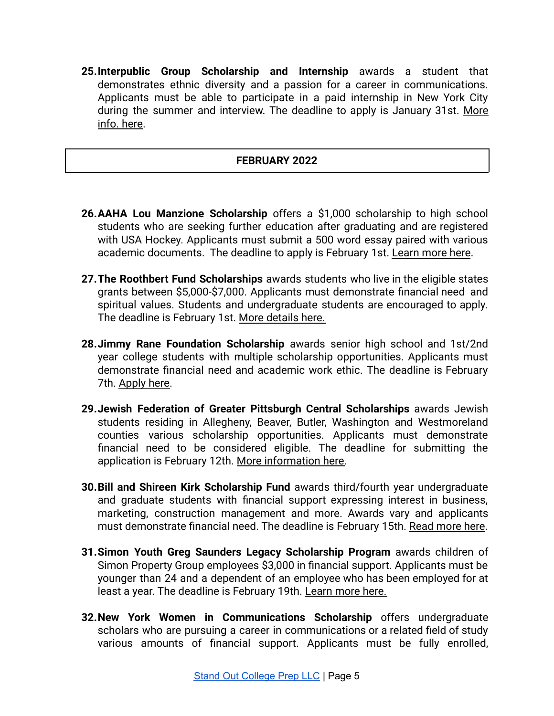**25.Interpublic Group Scholarship and Internship** awards a student that demonstrates ethnic diversity and a passion for a career in communications. Applicants must be able to participate in a paid internship in New York City during the summer and interview. The deadline to apply is January 31st. [More](https://scholarships.nywici.org/sponsored-scholarships) [info. here.](https://scholarships.nywici.org/sponsored-scholarships)

## **FEBRUARY 2022**

- **26.AAHA Lou Manzione Scholarship** offers a \$1,000 scholarship to high school students who are seeking further education after graduating and are registered with USA Hockey. Applicants must submit a 500 word essay paired with various academic documents. The deadline to apply is February 1st. [Learn more here](https://www.atlantic-district.org/scholarships).
- **27.The Roothbert Fund Scholarships** awards students who live in the eligible states grants between \$5,000-\$7,000. Applicants must demonstrate financial need and spiritual values. Students and undergraduate students are encouraged to apply. The deadline is February 1st. [More details here.](https://www.roothbertfund.org/scholarships)
- **28.Jimmy Rane Foundation Scholarship** awards senior high school and 1st/2nd year college students with multiple scholarship opportunities. Applicants must demonstrate financial need and academic work ethic. The deadline is February 7th. [Apply here.](https://www.jimmyranefoundation.org/scholarship-about)
- **29.Jewish Federation of Greater Pittsburgh Central Scholarships** awards Jewish students residing in Allegheny, Beaver, Butler, Washington and Westmoreland counties various scholarship opportunities. Applicants must demonstrate financial need to be considered eligible. The deadline for submitting the application is February 12th. [More information here.](https://www.jfcspgh.org/services/scholarships/)
- **30.Bill and Shireen Kirk Scholarship Fund** awards third/fourth year undergraduate and graduate students with financial support expressing interest in business, marketing, construction management and more. Awards vary and applicants must demonstrate financial need. The deadline is February 15th. [Read more here](https://www.asphaltfoundation.org/kirk-scholarship/).
- **31.Simon Youth Greg Saunders Legacy Scholarship Program** awards children of Simon Property Group employees \$3,000 in financial support. Applicants must be younger than 24 and a dependent of an employee who has been employed for at least a year. The deadline is February 19th. Learn [more here.](https://programs.applyists.com/syf/#1532705722829-27f60609-dd5c)
- **32.New York Women in Communications Scholarship** offers undergraduate scholars who are pursuing a career in communications or a related field of study various amounts of financial support. Applicants must be fully enrolled,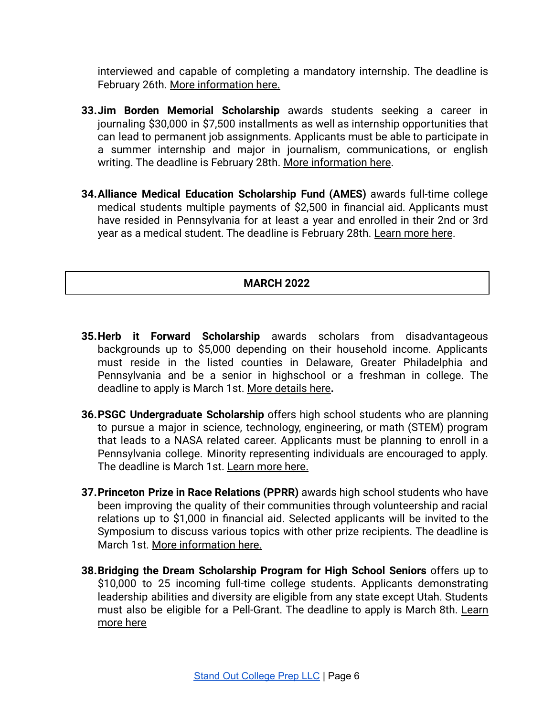interviewed and capable of completing a mandatory internship. The deadline is February 26th. [More information here.](https://scholarships.nywici.org/eligibility-and-qualifications)

- **33.Jim Borden Memorial Scholarship** awards students seeking a career in journaling \$30,000 in \$7,500 installments as well as internship opportunities that can lead to permanent job assignments. Applicants must be able to participate in a summer internship and major in journalism, communications, or english writing. The deadline is February 28th. [More information](https://tribtotalmedia.com/jim-borden-memorial-scholarship/) here.
- **34.Alliance Medical Education Scholarship Fund (AMES)** awards full-time college medical students multiple payments of \$2,500 in financial aid. Applicants must have resided in Pennsylvania for at least a year and enrolled in their 2nd or 3rd year as a medical student. The deadline is February 28th. [Learn more here](https://www.foundationpamedsoc.org/docs/librariesprovider3/foundation-documents/2021-scholarship-materials/2022-ames-application-eligibility-instructions.pdf?sfvrsn=acb98be4_3).

# **MARCH 2022**

- **35.Herb it Forward Scholarship** awards scholars from disadvantageous backgrounds up to \$5,000 depending on their household income. Applicants must reside in the listed counties in Delaware, Greater Philadelphia and Pennsylvania and be a senior in highschool or a freshman in college. The deadline to apply is March 1st. [More details here](https://www.herbie.com/hif-scholarship/)**.**
- **36.PSGC Undergraduate Scholarship** offers high school students who are planning to pursue a major in science, technology, engineering, or math (STEM) program that leads to a NASA related career. Applicants must be planning to enroll in a Pennsylvania college. Minority representing individuals are encouraged to apply. The deadline is March 1st. [Learn more here.](https://sites.psu.edu/paspacegrant/opportunities/scholarships/state-wide-undergraduate-scholarships/)
- **37.Princeton Prize in Race Relations (PPRR)** awards high school students who have been improving the quality of their communities through volunteership and racial relations up to \$1,000 in financial aid. Selected applicants will be invited to the Symposium to discuss various topics with other prize recipients. The deadline is March 1st. [More information here.](https://princetonprize.smapply.io/prog/princeton_prize_in_race_relations/)
- **38.Bridging the Dream Scholarship Program for High School Seniors** offers up to \$10,000 to 25 incoming full-time college students. Applicants demonstrating leadership abilities and diversity are eligible from any state except Utah. Students must also be eligible for a Pell-Grant. The deadline to apply is March 8th. [Learn](https://www.tmcf.org/students-alumni/scholarship/tmcf-bridging-the-dream-scholarship-program-for-high-school-seniors/) [more here](https://www.tmcf.org/students-alumni/scholarship/tmcf-bridging-the-dream-scholarship-program-for-high-school-seniors/)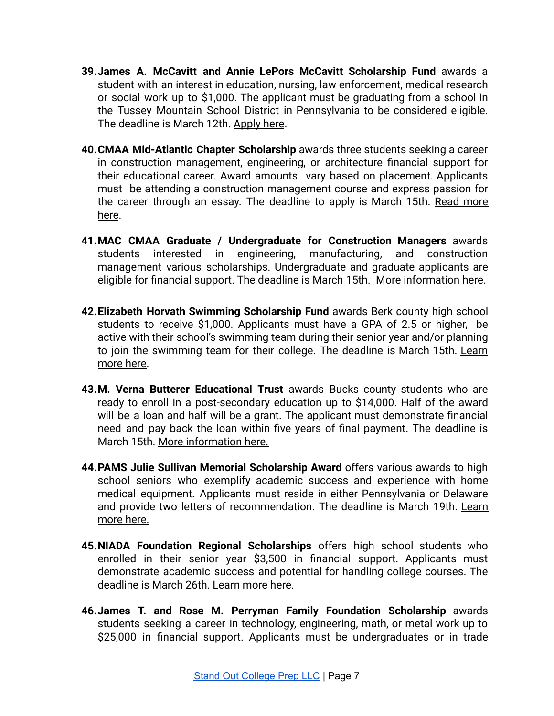- **39.James A. McCavitt and Annie LePors McCavitt Scholarship Fund** awards a student with an interest in education, nursing, law enforcement, medical research or social work up to \$1,000. The applicant must be graduating from a school in the Tussey Mountain School District in Pennsylvania to be considered eligible. The deadline is March 12th. [Apply here](https://www.siliconvalleycf.org/scholarships/mccavitt).
- **40.CMAA Mid-Atlantic Chapter Scholarship** awards three students seeking a career in construction management, engineering, or architecture financial support for their educational career. Award amounts vary based on placement. Applicants must be attending a construction management course and express passion for the career through an essay. The deadline to apply is March 15th. Read [more](https://www.cmaamidatlantic.org/scholarship-program) [here](https://www.cmaamidatlantic.org/scholarship-program).
- **41.MAC CMAA Graduate / Undergraduate for Construction Managers** awards students interested in engineering, manufacturing, and construction management various scholarships. Undergraduate and graduate applicants are eligible for financial support. The deadline is March 15th. [More information here.](https://cmaasac.org/cmaa-scholarship-foundation/scholarship/)
- **42.Elizabeth Horvath Swimming Scholarship Fund** awards Berk county high school students to receive \$1,000. Applicants must have a GPA of 2.5 or higher, be active with their school's swimming team during their senior year and/or planning to join the swimming team for their college. The deadline is March 15th. [Learn](https://bccf.org/scholarships/elizabeth-horvath-swimming-scholarship-fund/) [more here.](https://bccf.org/scholarships/elizabeth-horvath-swimming-scholarship-fund/)
- **43.M. Verna Butterer Educational Trust** awards Bucks county students who are ready to enroll in a post-secondary education up to \$14,000. Half of the award will be a loan and half will be a grant. The applicant must demonstrate financial need and pay back the loan within five years of final payment. The deadline is March 15th. [More information here.](http://butterer.org/index.htm)
- **44.PAMS Julie Sullivan Memorial Scholarship Award** offers various awards to high school seniors who exemplify academic success and experience with home medical equipment. Applicants must reside in either Pennsylvania or Delaware and provide two letters of recommendation. The deadline is March 19th. [Learn](https://www.pamsonline.org/pams-julie-sullivan-memorial-scholarship-award) [more here.](https://www.pamsonline.org/pams-julie-sullivan-memorial-scholarship-award)
- **45.NIADA Foundation Regional Scholarships** offers high school students who enrolled in their senior year \$3,500 in financial support. Applicants must demonstrate academic success and potential for handling college courses. The deadline is March 26th. [Learn more here.](https://www.niada.com/foundation_scholarship.php)
- **46.James T. and Rose M. Perryman Family Foundation Scholarship** awards students seeking a career in technology, engineering, math, or metal work up to \$25,000 in financial support. Applicants must be undergraduates or in trade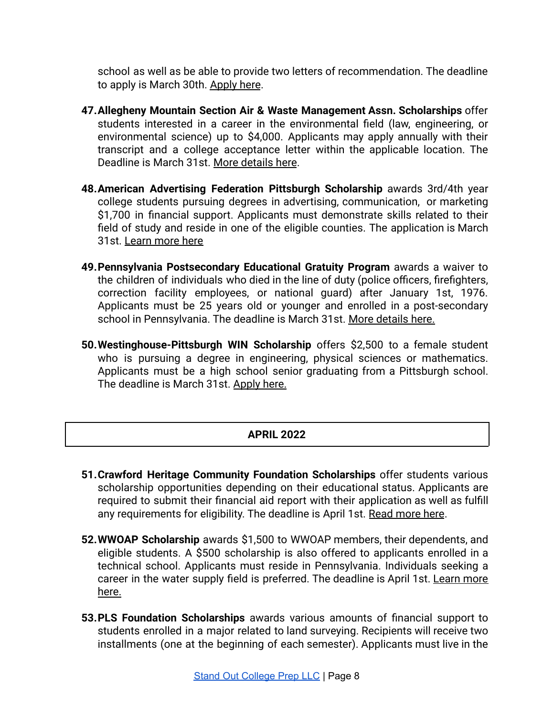school as well as be able to provide two letters of recommendation. The deadline to apply is March 30th. [Apply here](https://perrymanfoundation.org/about-the-foundation/).

- **47.Allegheny Mountain Section Air & Waste Management Assn. Scholarships** offer students interested in a career in the environmental field (law, engineering, or environmental science) up to \$4,000. Applicants may apply annually with their transcript and a college acceptance letter within the applicable location. The Deadline is March 31st. [More details here](https://www.ams-awma.org/amsscholarship).
- **48.American Advertising Federation Pittsburgh Scholarship** awards 3rd/4th year college students pursuing degrees in advertising, communication, or marketing \$1,700 in financial support. Applicants must demonstrate skills related to their field of study and reside in one of the eligible counties. The application is March 31st. [Learn more here](https://pittsburghfoundation.org/scholarship/1782)
- **49.Pennsylvania Postsecondary Educational Gratuity Program** awards a waiver to the children of individuals who died in the line of duty (police officers, firefighters, correction facility employees, or national guard) after January 1st, 1976. Applicants must be 25 years old or younger and enrolled in a post-secondary school in Pennsylvania. The deadline is March 31st. [More details here.](https://www.pheaa.org/funding-opportunities/other-educational-aid/postsecondary-educational-gratuity.shtml)
- **50.Westinghouse-Pittsburgh WIN Scholarship** offers \$2,500 to a female student who is pursuing a degree in engineering, physical sciences or mathematics. Applicants must be a high school senior graduating from a Pittsburgh school. The deadline is March 31st. [Apply here.](https://www.westinghousenuclear.com/about/community-and-education/westinghouse-women-in-nuclear)

# **APRIL 2022**

- **51.Crawford Heritage Community Foundation Scholarships** offer students various scholarship opportunities depending on their educational status. Applicants are required to submit their financial aid report with their application as well as fulfill any requirements for eligibility. The deadline is April 1st. [Read more here](https://www.crawfordheritage.org/scholarship/).
- **52.WWOAP Scholarship** awards \$1,500 to WWOAP members, their dependents, and eligible students. A \$500 scholarship is also offered to applicants enrolled in a technical school. Applicants must reside in Pennsylvania. Individuals seeking a career in the water supply field is preferred. The deadline is April 1st. [Learn](https://www.wwoap.org/resources-exams/scholarships/) more [here.](https://www.wwoap.org/resources-exams/scholarships/)
- **53.PLS Foundation Scholarships** awards various amounts of financial support to students enrolled in a major related to land surveying. Recipients will receive two installments (one at the beginning of each semester). Applicants must live in the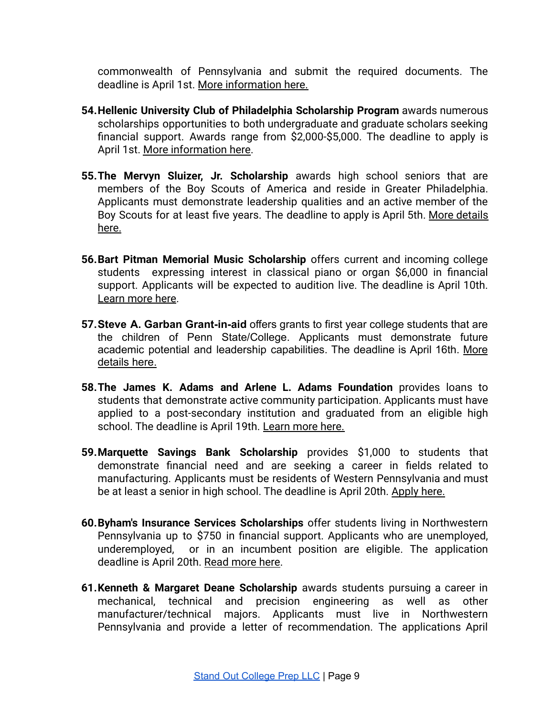commonwealth of Pennsylvania and submit the required documents. The deadline is April 1st. [More information here.](https://www.psls.org/scholarship/)

- **54.Hellenic University Club of Philadelphia Scholarship Program** awards numerous scholarships opportunities to both undergraduate and graduate scholars seeking financial support. Awards range from \$2,000-\$5,000. The deadline to apply is April 1st. [More information here](http://www.hucphiladelphia.org/huc-scholarship-program/).
- **55.The Mervyn Sluizer, Jr. Scholarship** awards high school seniors that are members of the Boy Scouts of America and reside in Greater Philadelphia. Applicants must demonstrate leadership qualities and an active member of the Boy Scouts for at least five years. The deadline to apply is April 5th. More [details](https://app.smarterselect.com/programs/54651-The-Philadelphia-Foundation) [here.](https://app.smarterselect.com/programs/54651-The-Philadelphia-Foundation)
- **56.Bart Pitman Memorial Music Scholarship** offers current and incoming college students expressing interest in classical piano or organ \$6,000 in financial support. Applicants will be expected to audition live. The deadline is April 10th. [Learn more here.](https://www.delvalmusicclub.org/pittman-scholarship-form)
- **57.Steve A. Garban Grant-in-aid** offers grants to first year college students that are the children of Penn State/College. Applicants must demonstrate future academic potential and leadership capabilities. The deadline is April 16th. [More](https://studentaid.psu.edu/types-of-aid/scholarships/applications) [details here.](https://studentaid.psu.edu/types-of-aid/scholarships/applications)
- **58.The James K. Adams and Arlene L. Adams Foundation** provides loans to students that demonstrate active community participation. Applicants must have applied to a post-secondary institution and graduated from an eligible high school. The deadline is April 19th. [Learn more here.](https://www.adams.foundation/eligibility.cfm)
- **59.Marquette Savings Bank Scholarship** provides \$1,000 to students that demonstrate financial need and are seeking a career in fields related to manufacturing. Applicants must be residents of Western Pennsylvania and must be at least a senior in high school. The deadline is April 20th. [Apply here.](https://marquettesavings.bank/community/education/)
- **60.Byham's Insurance Services Scholarships** offer students living in Northwestern Pennsylvania up to \$750 in financial support. Applicants who are unemployed, underemployed, or in an incumbent position are eligible. The application deadline is April 20th. [Read more here.](https://nwpa-ntma.com/Scholarships)
- **61.Kenneth & Margaret Deane Scholarship** awards students pursuing a career in mechanical, technical and precision engineering as well as other manufacturer/technical majors. Applicants must live in Northwestern Pennsylvania and provide a letter of recommendation. The applications April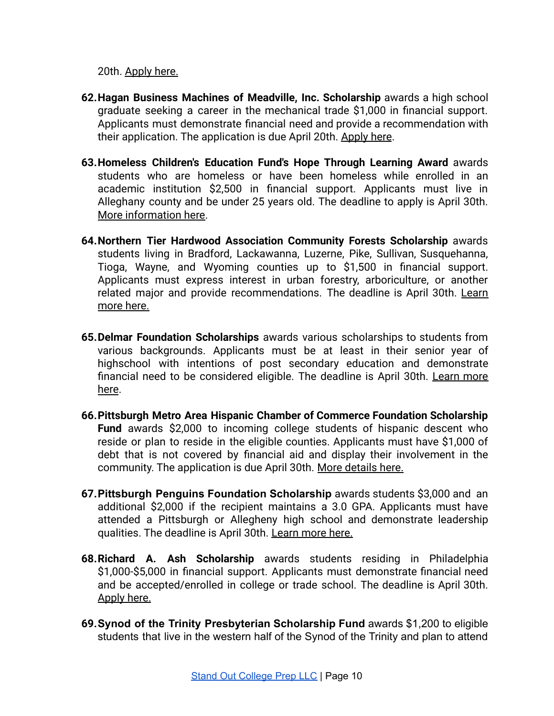20th. [Apply here.](https://nwpa-ntma.com/content.php?page=Scholarships)

- **62.Hagan Business Machines of Meadville, Inc. Scholarship** awards a high school graduate seeking a career in the mechanical trade \$1,000 in financial support. Applicants must demonstrate financial need and provide a recommendation with their application. The application is due April 20th. [Apply here](https://nwpa-ntma.com/Scholarships).
- **63.Homeless Children's Education Fund's Hope Through Learning Award** awards students who are homeless or have been homeless while enrolled in an academic institution \$2,500 in financial support. Applicants must live in Alleghany county and be under 25 years old. The deadline to apply is April 30th. [More information here.](https://homelessfund.org/hope/)
- **64.Northern Tier Hardwood Association Community Forests Scholarship** awards students living in Bradford, Lackawanna, Luzerne, Pike, Sullivan, Susquehanna, Tioga, Wayne, and Wyoming counties up to \$1,500 in financial support. Applicants must express interest in urban forestry, arboriculture, or another related major and provide recommendations. The deadline is April 30th. [Learn](https://nthardwoods.org/postcategory.php?c=Scholarships) [more here.](https://nthardwoods.org/postcategory.php?c=Scholarships)
- **65.Delmar Foundation Scholarships** awards various scholarships to students from various backgrounds. Applicants must be at least in their senior year of highschool with intentions of post secondary education and demonstrate financial need to be considered eligible. The deadline is April 30th. [Learn](https://dmcfoundation.awardspring.com/Home/Scholarships) more [here](https://dmcfoundation.awardspring.com/Home/Scholarships).
- **66.Pittsburgh Metro Area Hispanic Chamber of Commerce Foundation Scholarship Fund** awards \$2,000 to incoming college students of hispanic descent who reside or plan to reside in the eligible counties. Applicants must have \$1,000 of debt that is not covered by financial aid and display their involvement in the community. The application is due April 30th. More [details here.](https://www.pmahcc.org/ApplyNow)
- **67.Pittsburgh Penguins Foundation Scholarship** awards students \$3,000 and an additional \$2,000 if the recipient maintains a 3.0 GPA. Applicants must have attended a Pittsburgh or Allegheny high school and demonstrate leadership qualities. The deadline is April 30th. [Learn more](https://www.pittsburghpenguinsfoundation.org/program/scholarships/) here.
- **68.Richard A. Ash Scholarship** awards students residing in Philadelphia \$1,000-\$5,000 in financial support. Applicants must demonstrate financial need and be accepted/enrolled in college or trade school. The deadline is April 30th. [Apply here.](https://www.philafound.org/students/apply-for-a-scholarship/)
- **69.Synod of the Trinity Presbyterian Scholarship Fund** awards \$1,200 to eligible students that live in the western half of the Synod of the Trinity and plan to attend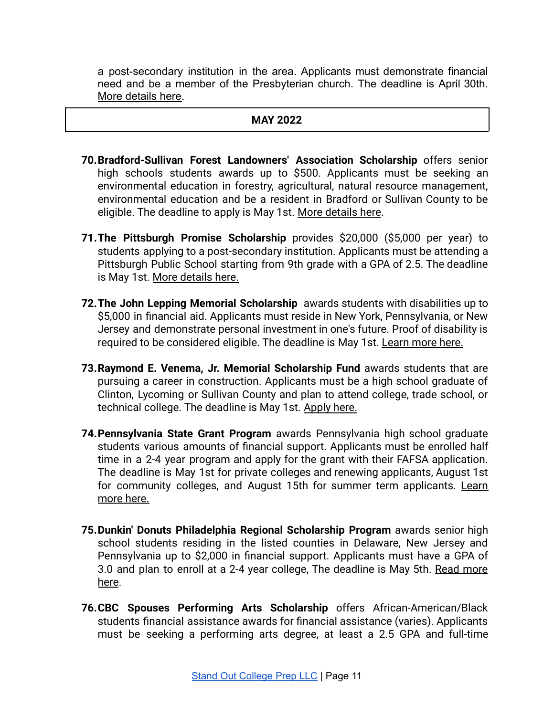a post-secondary institution in the area. Applicants must demonstrate financial need and be a member of the Presbyterian church. The deadline is April 30th. [More details here.](https://www.syntrinity.org/ministry-mission-applications/student-study-scholarship/)

#### **MAY 2022**

- **70.Bradford-Sullivan Forest Landowners' Association Scholarship** offers senior high schools students awards up to \$500. Applicants must be seeking an environmental education in forestry, agricultural, natural resource management, environmental education and be a resident in Bradford or Sullivan County to be eligible. The deadline to apply is May 1st. [More details](https://nthardwoods.org/post/_docs/BradfordSullivanForestLandowners.pdf) here.
- **71.The Pittsburgh Promise Scholarship** provides \$20,000 (\$5,000 per year) to students applying to a post-secondary institution. Applicants must be attending a Pittsburgh Public School starting from 9th grade with a GPA of 2.5. The deadline is May 1st. [More details here.](https://pittsburghpromise.org/the-scholarship/eligibility/)
- **72.The John Lepping Memorial Scholarship** awards students with disabilities up to \$5,000 in financial aid. Applicants must reside in New York, Pennsylvania, or New Jersey and demonstrate personal investment in one's future. Proof of disability is required to be considered eligible. The deadline is May 1st. [Learn more here.](http://www.lepfoundation.org/applications)
- **73.Raymond E. Venema, Jr. Memorial Scholarship Fund** awards students that are pursuing a career in construction. Applicants must be a high school graduate of Clinton, Lycoming or Sullivan County and plan to attend college, trade school, or technical college. The deadline is May 1st. [Apply](https://www.fcfpartnership.org/apply/by-special-interest) here.
- **74.Pennsylvania State Grant Program** awards Pennsylvania high school graduate students various amounts of financial support. Applicants must be enrolled half time in a 2-4 year program and apply for the grant with their FAFSA application. The deadline is May 1st for private colleges and renewing applicants, August 1st for community colleges, and August 15th for summer term applicants. [Learn](https://www.pheaa.org/grants/state-grant-program/) [more here.](https://www.pheaa.org/grants/state-grant-program/)
- **75.Dunkin' Donuts Philadelphia Regional Scholarship Program** awards senior high school students residing in the listed counties in Delaware, New Jersey and Pennsylvania up to \$2,000 in financial support. Applicants must have a GPA of 3.0 and plan to enroll at a 2-4 year college, The deadline is May 5th. Read [more](https://learnmore.scholarsapply.org/dunkinphilly/) [here](https://learnmore.scholarsapply.org/dunkinphilly/).
- **76.CBC Spouses Performing Arts Scholarship** offers African-American/Black students financial assistance awards for financial assistance (varies). Applicants must be seeking a performing arts degree, at least a 2.5 GPA and full-time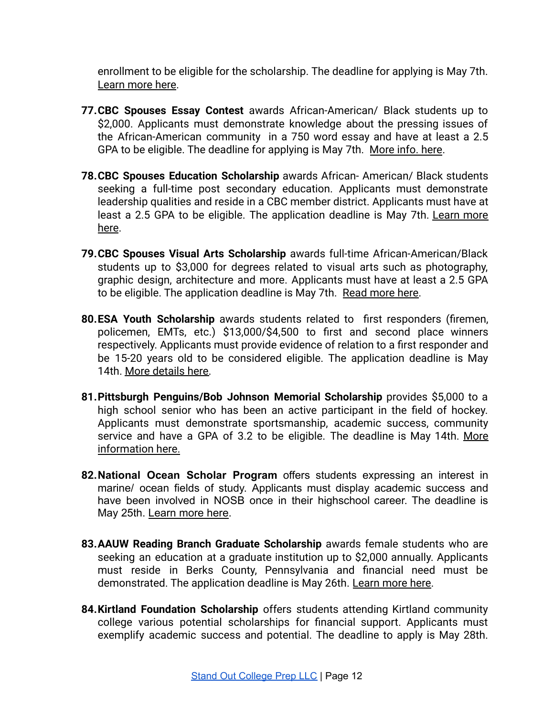enrollment to be eligible for the scholarship. The deadline for applying is May 7th. [Learn more here.](https://cbcfinc.academicworks.com/opportunities/731)

- **77.CBC Spouses Essay Contest** awards African-American/ Black students up to \$2,000. Applicants must demonstrate knowledge about the pressing issues of the African-American community in a 750 word essay and have at least a 2.5 GPA to be eligible. The deadline for applying is May 7th. [More info. here](https://cbcfinc.academicworks.com/opportunities/806).
- **78.CBC Spouses Education Scholarship** awards African- American/ Black students seeking a full-time post secondary education. Applicants must demonstrate leadership qualities and reside in a CBC member district. Applicants must have at least a 2.5 GPA to be eligible. The application deadline is May 7th. [Learn](https://cbcfinc.academicworks.com/opportunities/727) more [here](https://cbcfinc.academicworks.com/opportunities/727).
- **79.CBC Spouses Visual Arts Scholarship** awards full-time African-American/Black students up to \$3,000 for degrees related to visual arts such as photography, graphic design, architecture and more. Applicants must have at least a 2.5 GPA to be eligible. The application deadline is May 7th. [Read more here.](https://cbcfinc.academicworks.com/opportunities/729)
- **80.ESA Youth Scholarship** awards students related to first responders (firemen, policemen, EMTs, etc.) \$13,000/\$4,500 to first and second place winners respectively. Applicants must provide evidence of relation to a first responder and be 15-20 years old to be considered eligible. The application deadline is May 14th. [More details here.](https://esaweb.org/esa-youth-scholarship-program-applications-open/)
- **81.Pittsburgh Penguins/Bob Johnson Memorial Scholarship** provides \$5,000 to a high school senior who has been an active participant in the field of hockey. Applicants must demonstrate sportsmanship, academic success, community service and have a GPA of 3.2 to be eligible. The deadline is May 14th. [More](https://www.pihlhockey.com/scholarships) [information here.](https://www.pihlhockey.com/scholarships)
- **82.National Ocean Scholar Program** offers students expressing an interest in marine/ ocean fields of study. Applicants must display academic success and have been involved in NOSB once in their highschool career. The deadline is May 25th. [Learn more here.](http://nosb.org/opportunities/national-ocean-scholar-program/)
- **83.AAUW Reading Branch Graduate Scholarship** awards female students who are seeking an education at a graduate institution up to \$2,000 annually. Applicants must reside in Berks County, Pennsylvania and financial need must be demonstrated. The application deadline is May 26th. [Learn more here.](https://reading-pa.aauw.net/66scholarships/)
- **84.Kirtland Foundation Scholarship** offers students attending Kirtland community college various potential scholarships for financial support. Applicants must exemplify academic success and potential. The deadline to apply is May 28th.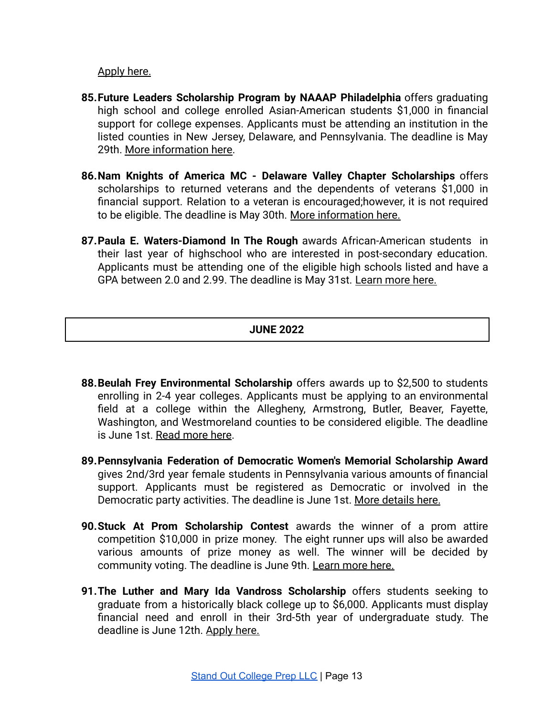[Apply here.](https://www.kirtland.edu/foundation/scholarships/)

- **85.Future Leaders Scholarship Program by NAAAP Philadelphia** offers graduating high school and college enrolled Asian-American students \$1,000 in financial support for college expenses. Applicants must be attending an institution in the listed counties in New Jersey, Delaware, and Pennsylvania. The deadline is May 29th. [More information here.](https://phl.naaap.org/programs/scholarship-program/)
- **86.Nam Knights of America MC - Delaware Valley Chapter Scholarships** offers scholarships to returned veterans and the dependents of veterans \$1,000 in financial support. Relation to a veteran is encouraged;however, it is not required to be eligible. The deadline is May 30th. [More information](https://www.delvalnamknights.org/) here.
- **87.Paula E. Waters-Diamond In The Rough** awards African-American students in their last year of highschool who are interested in post-secondary education. Applicants must be attending one of the eligible high schools listed and have a GPA between 2.0 and 2.99. The deadline is May 31st. [Learn more here.](https://programs.applyists.com/diamond-in-the-rough/#1618927970863-9c95f7e6-a24d)

# **JUNE 2022**

- **88.Beulah Frey Environmental Scholarship** offers awards up to \$2,500 to students enrolling in 2-4 year colleges. Applicants must be applying to an environmental field at a college within the Allegheny, Armstrong, Butler, Beaver, Fayette, Washington, and Westmoreland counties to be considered eligible. The deadline is June 1st. [Read more here](http://www.aswp.org/pages/awards).
- **89.Pennsylvania Federation of Democratic Women's Memorial Scholarship Award** gives 2nd/3rd year female students in Pennsylvania various amounts of financial support. Applicants must be registered as Democratic or involved in the Democratic party activities. The deadline is June 1st. [More details here.](http://pafdw.org/memorial-scholarship-application/)
- **90.Stuck At Prom Scholarship Contest** awards the winner of a prom attire competition \$10,000 in prize money. The eight runner ups will also be awarded various amounts of prize money as well. The winner will be decided by community voting. The deadline is June 9th. Learn [more here.](https://www.duckbrand.com/stuck-at-prom/official-rules)
- **91.The Luther and Mary Ida Vandross Scholarship** offers students seeking to graduate from a historically black college up to \$6,000. Applicants must display financial need and enroll in their 3rd-5th year of undergraduate study. The deadline is June 12th. [Apply here.](https://nccu.academicworks.com/opportunities/683)